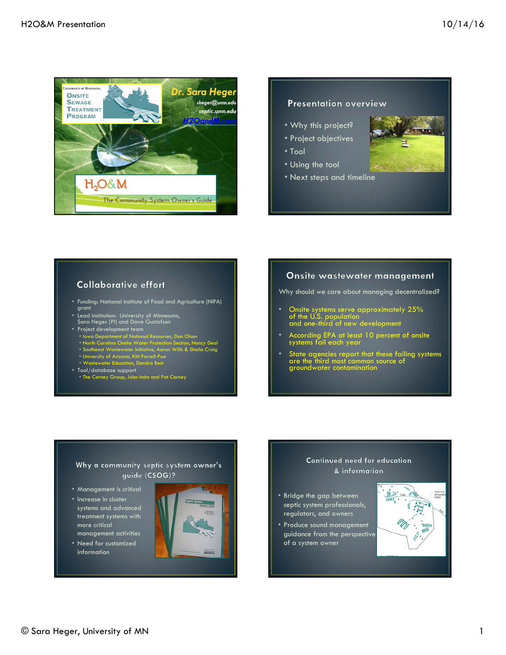

#### **Presentation overview**

- Why this project?
- Project objectives
- Tool
- Using the tool
- Next steps and timeline



#### **Collaborative effort**

- Funding: National Institute of Food and Agriculture (NIFA) grant
- Lead institution: University of Minnesota, Sara Heger (PI) and Dave Gustafson
- Project development team
- Iowa Department of National Resources, Dan Olson
- North Carolina Onsite Water Protection Section, Nancy Deal
- Southeast Wastewater Initiative, Aaron Wills & Sheila Craig
- University of Arizona, Kitt Farrell-Poe
- Wastewater Education, Dendra Best
- Tool/database support • The Carney Group, Jules Inda and Pat Carney

#### Onsite wastewater management

Why should we care about managing decentralized?

- Onsite systems serve approximately 25% of the U.S. population and one-third of new development
- According EPA at least 10 percent of onsite systems fail each year
- State agencies report that these failing systems are the third most common source of groundwater contamination

#### Why a community septic system owner's guide (CSOG)?

- Management is critical
- Increase in cluster systems and advanced treatment systems with more critical management activities
- Need for customized information



#### Continued need for education & information

- Bridge the gap between septic system professionals, regulators, and owners
- Produce sound management guidance from the perspective of a system owner

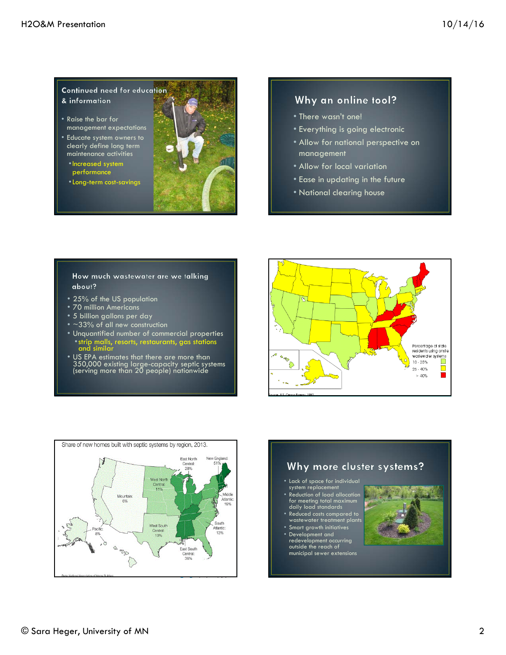Continued need for education & information

- Raise the bar for management expectations
- Educate system owners to clearly define long term maintenance activities
	- •Increased system performance
	- •Long-term cost-savings



#### Why an online tool?

- There wasn't one!
- Everything is going electronic
- Allow for national perspective on management
- Allow for local variation
- Ease in updating in the future
- National clearing house

How much wastewater are we talking about?

- 25% of the US population
- 70 million Americans
- 5 billion gallons per day
- $\sim$ 33% of all new construction
- Unquantified number of commercial properties •strip malls, resorts, restaurants, gas stations and similar
- US EPA estimates that there are more than 350,000 existing large-capacity septic systems (serving more than 20 people) nationwide





# Why more cluster systems? • Lack of space for individual system replacement • Reduction of load allocation for meeting total maximum daily load standards • Reduced costs compared to wastewater treatment plants • Smart growth initiatives

• Development and redevelopment occurring outside the reach of municipal sewer extensions

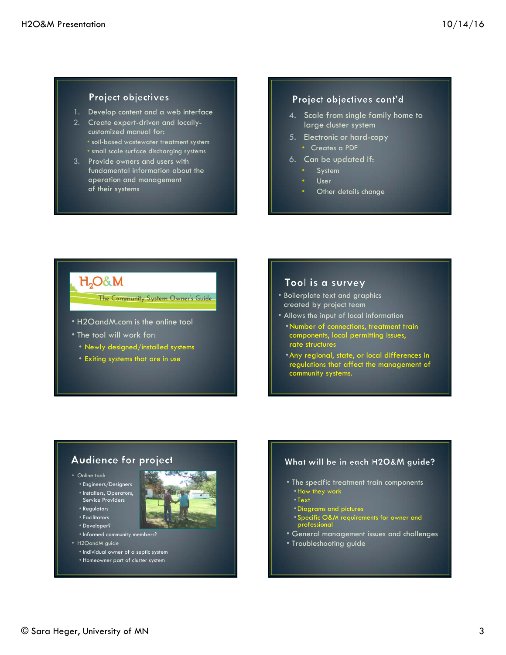#### **Project objectives**

- 1. Develop content and a web interface
- 2. Create expert-driven and locallycustomized manual for: • soil-based wastewater treatment system • small scale surface discharging systems
- 3. Provide owners and users with fundamental information about the operation and management of their systems

#### Project objectives cont'd

- 4. Scale from single family home to large cluster system
- 5. Electronic or hard-copy
	- Creates a PDF
- 6. Can be updated if:
	- **System**
	- User
	- Other details change

# H<sub>2</sub>O&M

The Community System Owner's Guide

- H2OandM.com is the online tool
- The tool will work for:
	- Newly designed/installed systems
	- Exiting systems that are in use

#### Tool is a survey

- Boilerplate text and graphics created by project team
- Allows the input of local information
- •Number of connections, treatment train components, local permitting issues, rate structures
- •Any regional, state, or local differences in regulations that affect the management of community systems.

#### **Audience for project**

- Online tool:
	- Engineers/Designers
	- Installers, Operators, Service Providers
	- Regulators
	- Facilitators
	- Developer?
	- Informed community members?
- H2OandM guide
	- Individual owner of a septic system
	- Homeowner part of cluster system

#### What will be in each H2O&M guide?

- The specific treatment train components •How they work
	- Text
	- •Diagrams and pictures
- Specific O&M requirements for owner and professional
- General management issues and challenges
- Troubleshooting guide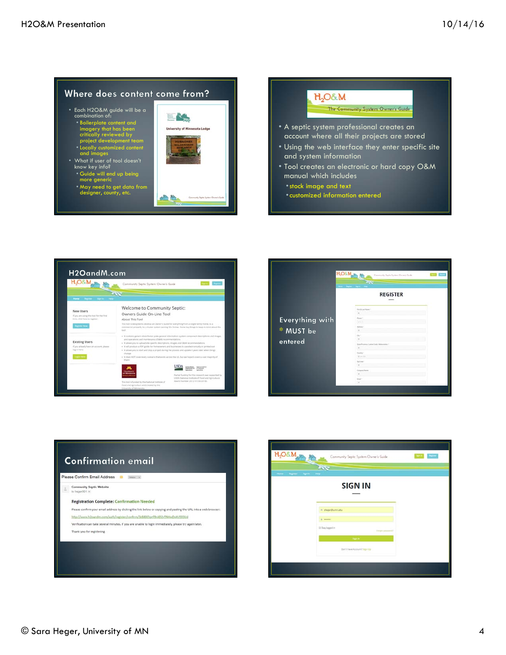#### Where does content come from?

• Each H2O&M guide will be a combination of: • Boilerplate content and imagery that has been critically reviewed by project development team • Locally customized content and images

• What if user of tool doesn't know key info? • Guide will end up being more generic



#### $H_2O\&M$

#### The Community System Owner's Guide

- A septic system professional creates an account where all their projects are stored
- Using the web interface they enter specific site and system information
- Tool creates an electronic or hard copy O&M manual which includes
	- •stock image and text
	- •customized information entered





| Please Confirm Email Address<br>tebox x |                                                                                                                 |  |  |  |  |
|-----------------------------------------|-----------------------------------------------------------------------------------------------------------------|--|--|--|--|
|                                         | Community Septic Website<br>to heger001                                                                         |  |  |  |  |
|                                         | <b>Registration Complete: Confirmation Needed</b>                                                               |  |  |  |  |
|                                         | Please confirm your email address by clicking the link below or copying and pasting the URL into a web browser: |  |  |  |  |
|                                         | http://www.h2pandm.com/auth/register/conftrm/3zB80Oiprfl9rAD2vTNHwDsXU593Ud                                     |  |  |  |  |
|                                         | Verification can take several minutes. If you are unable to login immediately, please try again later.          |  |  |  |  |
|                                         | Thank you for registering.                                                                                      |  |  |  |  |

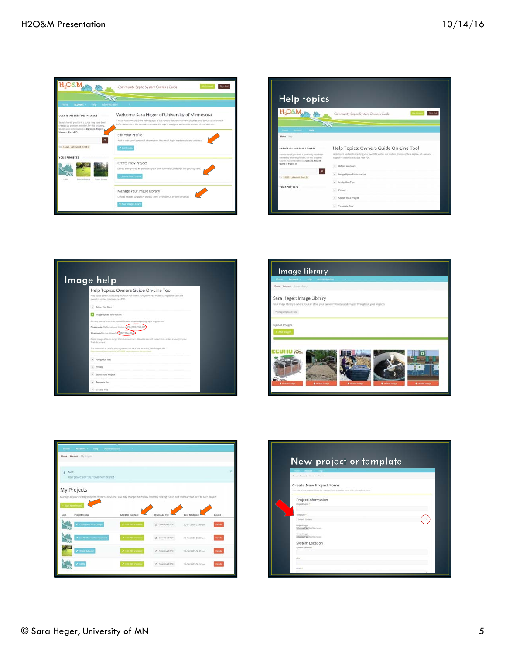

| <b>Help topics</b>                                                                                                                               |                                                                                                                                             |  |  |  |
|--------------------------------------------------------------------------------------------------------------------------------------------------|---------------------------------------------------------------------------------------------------------------------------------------------|--|--|--|
|                                                                                                                                                  | $m$ Out<br>Community Septic System Owner's Guide                                                                                            |  |  |  |
|                                                                                                                                                  |                                                                                                                                             |  |  |  |
| Hame Account - New<br><b>Hane</b> : mis                                                                                                          |                                                                                                                                             |  |  |  |
| LOCATE AN EXISTING PROJECT                                                                                                                       | Help Topics: Owners Guide On-Line Tool                                                                                                      |  |  |  |
| Search here if you think a guide may have been<br>created by another provider, for this property.<br>Search any sumbination of Zip Code. Project | Help topics pertain to creating your own PDF within our system, You must be a registered user and<br>logged in to start creating a new PDF. |  |  |  |
| Name or Parcel ID                                                                                                                                | . Before You Start                                                                                                                          |  |  |  |
| $\alpha$<br>In \$3125 Labournt Leptis                                                                                                            | Image Upload Information                                                                                                                    |  |  |  |
|                                                                                                                                                  | Navigation Tips                                                                                                                             |  |  |  |
| <b>YOUR PROJECTS</b>                                                                                                                             | · Privacy                                                                                                                                   |  |  |  |
|                                                                                                                                                  | Search for a Project                                                                                                                        |  |  |  |
|                                                                                                                                                  |                                                                                                                                             |  |  |  |

| Help Topics: Owners Guide On-Line Tool                                                                                                               |
|------------------------------------------------------------------------------------------------------------------------------------------------------|
| PARD topics person to creating your own PDF within our system. You must be a registered user and<br>logged in to start creating a new PDF.           |
| + Before You Start                                                                                                                                   |
| Image Upload Information                                                                                                                             |
| As many points in the Toor you will be able to upload photographs or graphics.                                                                       |
| Please note: file formats are limited to PIG, PIG, PIG, GI                                                                                           |
| Maximum for size allowed CMB (2 Megative                                                                                                             |
| (Note: images that are larger than the maximum altiswatile size will not print or render properly in your<br>final document.)                        |
| The web is full of helpful sizes if you are not sure how to resize your images. See<br>Particularly controlled \$2,7,000 reduce prison His and fixed |
| + Navigation Tips                                                                                                                                    |
| $v$ . Privacy                                                                                                                                        |
|                                                                                                                                                      |





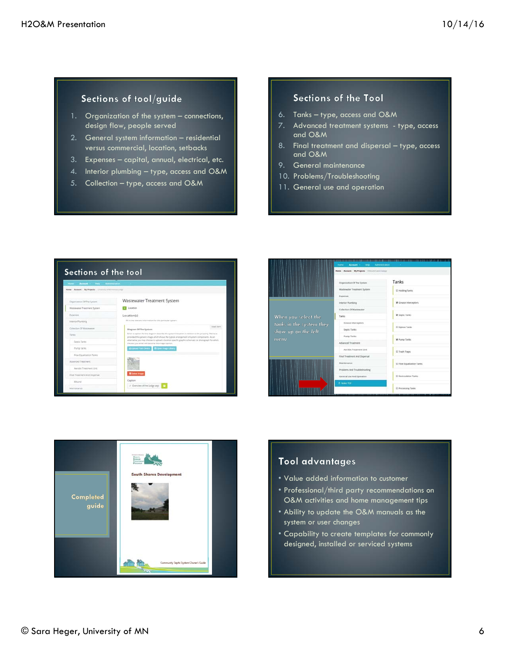# Sections of tool/guide

- 1. Organization of the system connections, design flow, people served
- 2. General system information residential versus commercial, location, setbacks
- 3. Expenses capital, annual, electrical, etc.
- 4. Interior plumbing type, access and O&M
- 5. Collection type, access and O&M

#### Sections of the Tool

- 6. Tanks type, access and O&M
- 7. Advanced treatment systems type, access and O&M
- 8. Final treatment and dispersal type, access and O&M
- 9. General maintenance
- 10. Problems/Troubleshooting
- 11. General use and operation







### Tool advantages

- Value added information to customer
- Professional/third party recommendations on O&M activities and home management tips
- Ability to update the O&M manuals as the system or user changes
- Capability to create templates for commonly designed, installed or serviced systems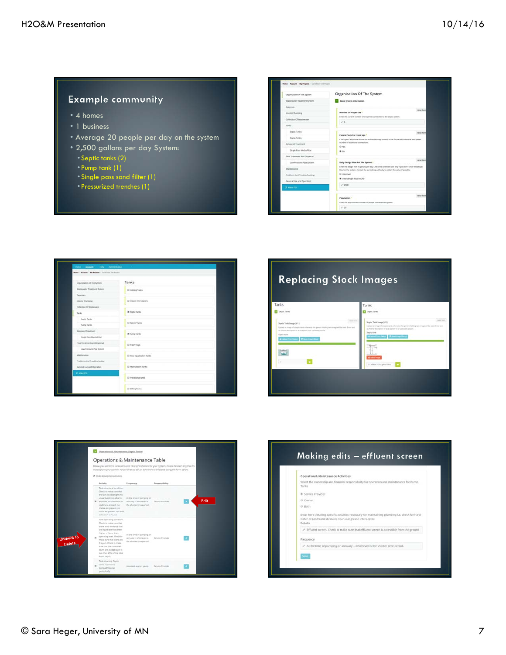## **Example community**

- 4 homes
- 1 business
- Average 20 people per day on the system
- 2,500 gallons per day System:
- Septic tanks (2)
- Pump tank (1)
- Single pass sand filter (1)
- Pressurized trenches (1)

| Organization Of The System      | Organization Of The System                                                                                                               |  |
|---------------------------------|------------------------------------------------------------------------------------------------------------------------------------------|--|
| Wastmeater Treatment System     | Basic System Information                                                                                                                 |  |
| Expenses                        |                                                                                                                                          |  |
| Interior Plumbing               | named than<br>Number Of Properties <sup>*</sup>                                                                                          |  |
| Collection Of Wastewater        | Enter the current number of properties convected to the septic system.                                                                   |  |
| Tanks                           | 15                                                                                                                                       |  |
| Septic Tariks                   | renat new                                                                                                                                |  |
| <b>Pump Tanks</b>               | Future Plans For Hook Ups *                                                                                                              |  |
| Advanced Treatment              | Chick yas if additional homes or businesses may connect in the future and enter the anticipated.<br>inimiter of additional connections.  |  |
| <b>Single Pass Media Filter</b> | O Yes                                                                                                                                    |  |
|                                 | $\bullet$ set                                                                                                                            |  |
| Final Treatment And Dispersal   | narged literet                                                                                                                           |  |
| Low Pressure Pipe System        | Daily Design Floor For The System *<br>Enter the design flow in gallons per day. Check the unknown box only if you don't know the design |  |
| Maintenance                     | Now for the system. Contact the permitting authority to obtain this salue if possible.                                                   |  |
| Problems And Troubleshooting    | O Unknown                                                                                                                                |  |
| General Use And Operation       | * Enter design Sow in GPD                                                                                                                |  |
| <b>CS: Make Plat</b>            | 12001                                                                                                                                    |  |
|                                 |                                                                                                                                          |  |
|                                 | renat ham<br>Population *                                                                                                                |  |
|                                 | Enter the approximate number of people connected to system.                                                                              |  |







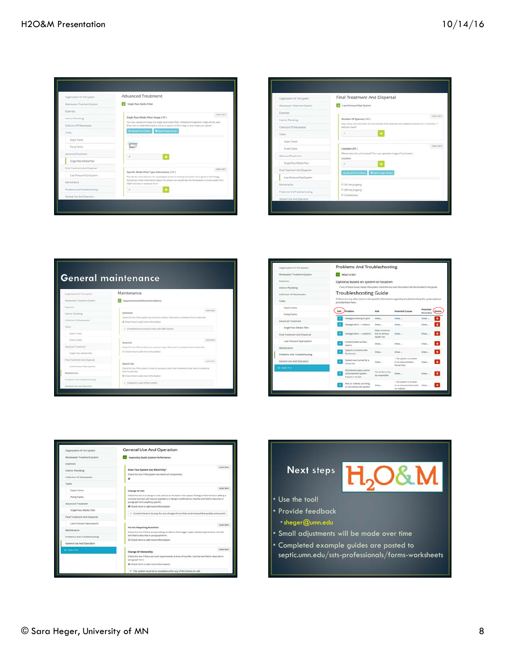| year have                                                                                                                                                                                    |
|----------------------------------------------------------------------------------------------------------------------------------------------------------------------------------------------|
|                                                                                                                                                                                              |
|                                                                                                                                                                                              |
|                                                                                                                                                                                              |
| Too may uplied an image of a cingle pack media filter, citherwise this peneric image will be used.<br>bear tast as added description and as a capture to this image or any image you upload. |
|                                                                                                                                                                                              |
|                                                                                                                                                                                              |
|                                                                                                                                                                                              |
|                                                                                                                                                                                              |
|                                                                                                                                                                                              |
| reset dam                                                                                                                                                                                    |
| Provide the menufacturer for a peckaged system or the type of system for a generic rechnology.                                                                                               |
| include any stiffer information about the system you would like the homeowher to know aside from                                                                                             |
|                                                                                                                                                                                              |
|                                                                                                                                                                                              |

| Organization Of The System    | Final Treatment And Dispersal                                                                                           |
|-------------------------------|-------------------------------------------------------------------------------------------------------------------------|
| Wastewater Treatment System   | Low Pressure Pipe System                                                                                                |
| Experises                     | raset item                                                                                                              |
| Imerior Plurobing             | Number Of Systems (#1)                                                                                                  |
| Collection Of Wastewater      | How many units are there for your choose fulal treatment and dispersal system (i.e., 2 trenches, 1)<br>fied) are there? |
| Target                        |                                                                                                                         |
| Septic Taries                 |                                                                                                                         |
| Pump Tanks                    | reset item.<br>Location (#1)                                                                                            |
| Advanced Treatment            | Where is lare the units located? You may upload an image of the location.<br>Location                                   |
| Single Pass Media Filter      | s                                                                                                                       |
| Final Treatment And Dispersal | A lipined from Deace<br><b>William Image Library</b>                                                                    |
| Low Pressure Pipe System      |                                                                                                                         |
| Mantenance                    | © On the property                                                                                                       |
| Problems And Troubleshooting  | @ Off the property                                                                                                      |
| General Use And Operation     | 9 Contination                                                                                                           |

# **General maintenance** Maintenance o. **V.Ad**